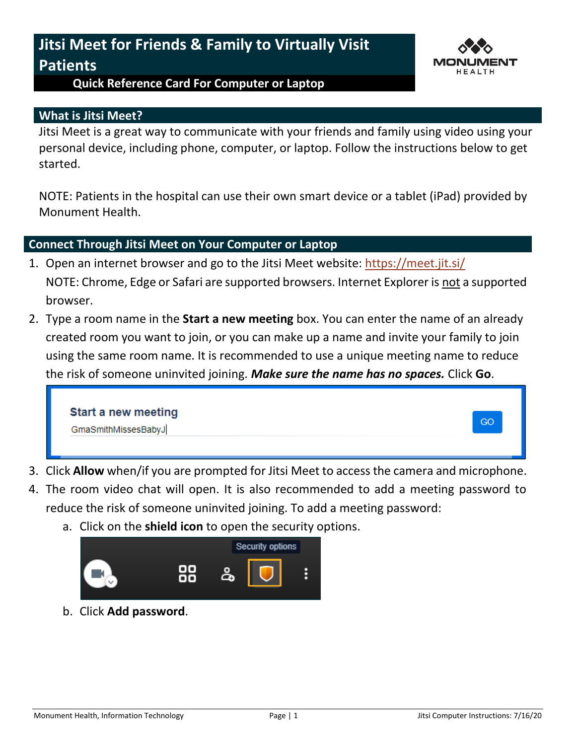## **Jitsi Meet for Friends & Family to Virtually Visit Patients**



## **Quick Reference Card For Computer or Laptop**

## **What is Jitsi Meet?**

Jitsi Meet is a great way to communicate with your friends and family using video using your personal device, including phone, computer, or laptop. Follow the instructions below to get started.

NOTE: Patients in the hospital can use their own smart device or a tablet (iPad) provided by Monument Health.

## **Connect Through Jitsi Meet on Your Computer or Laptop**

- 1. Open an internet browser and go to the Jitsi Meet website:<https://meet.jit.si/> NOTE: Chrome, Edge or Safari are supported browsers. Internet Explorer is not a supported browser.
- 2. Type a room name in the **Start a new meeting** box. You can enter the name of an already created room you want to join, or you can make up a name and invite your family to join using the same room name. It is recommended to use a unique meeting name to reduce the risk of someone uninvited joining. *Make sure the name has no spaces.* Click **Go**.



- 3. Click **Allow** when/if you are prompted for Jitsi Meet to access the camera and microphone.
- 4. The room video chat will open. It is also recommended to add a meeting password to reduce the risk of someone uninvited joining. To add a meeting password:
	- a. Click on the **shield icon** to open the security options.



b. Click **Add password**.